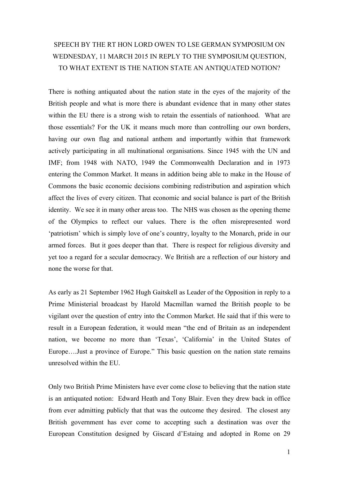## SPEECH BY THE RT HON LORD OWEN TO LSE GERMAN SYMPOSIUM ON WEDNESDAY, 11 MARCH 2015 IN REPLY TO THE SYMPOSIUM QUESTION, TO WHAT EXTENT IS THE NATION STATE AN ANTIQUATED NOTION?

There is nothing antiquated about the nation state in the eyes of the majority of the British people and what is more there is abundant evidence that in many other states within the EU there is a strong wish to retain the essentials of nationhood. What are those essentials? For the UK it means much more than controlling our own borders, having our own flag and national anthem and importantly within that framework actively participating in all multinational organisations. Since 1945 with the UN and IMF; from 1948 with NATO, 1949 the Commonwealth Declaration and in 1973 entering the Common Market. It means in addition being able to make in the House of Commons the basic economic decisions combining redistribution and aspiration which affect the lives of every citizen. That economic and social balance is part of the British identity. We see it in many other areas too. The NHS was chosen as the opening theme of the Olympics to reflect our values. There is the often misrepresented word 'patriotism' which is simply love of one's country, loyalty to the Monarch, pride in our armed forces. But it goes deeper than that. There is respect for religious diversity and yet too a regard for a secular democracy. We British are a reflection of our history and none the worse for that.

As early as 21 September 1962 Hugh Gaitskell as Leader of the Opposition in reply to a Prime Ministerial broadcast by Harold Macmillan warned the British people to be vigilant over the question of entry into the Common Market. He said that if this were to result in a European federation, it would mean "the end of Britain as an independent nation, we become no more than 'Texas', 'California' in the United States of Europe….Just a province of Europe." This basic question on the nation state remains unresolved within the EU.

Only two British Prime Ministers have ever come close to believing that the nation state is an antiquated notion: Edward Heath and Tony Blair. Even they drew back in office from ever admitting publicly that that was the outcome they desired. The closest any British government has ever come to accepting such a destination was over the European Constitution designed by Giscard d'Estaing and adopted in Rome on 29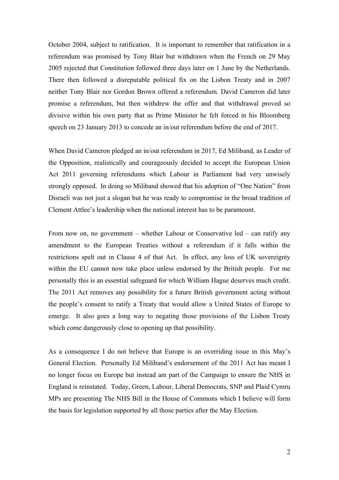October 2004, subject to ratification. It is important to remember that ratification in a referendum was promised by Tony Blair but withdrawn when the French on 29 May 2005 rejected that Constitution followed three days later on 1 June by the Netherlands. There then followed a disreputable political fix on the Lisbon Treaty and in 2007 neither Tony Blair nor Gordon Brown offered a referendum. David Cameron did later promise a referendum, but then withdrew the offer and that withdrawal proved so divisive within his own party that as Prime Minister he felt forced in his Bloomberg speech on 23 January 2013 to concede an in/out referendum before the end of 2017.

When David Cameron pledged an in/out referendum in 2017, Ed Miliband, as Leader of the Opposition, realistically and courageously decided to accept the European Union Act 2011 governing referendums which Labour in Parliament had very unwisely strongly opposed. In doing so Miliband showed that his adoption of "One Nation" from Disraeli was not just a slogan but he was ready to compromise in the broad tradition of Clement Attlee's leadership when the national interest has to be paramount.

From now on, no government – whether Labour or Conservative led – can ratify any amendment to the European Treaties without a referendum if it falls within the restrictions spelt out in Clause 4 of that Act. In effect, any loss of UK sovereignty within the EU cannot now take place unless endorsed by the British people. For me personally this is an essential safeguard for which William Hague deserves much credit. The 2011 Act removes any possibility for a future British government acting without the people's consent to ratify a Treaty that would allow a United States of Europe to emerge. It also goes a long way to negating those provisions of the Lisbon Treaty which come dangerously close to opening up that possibility.

As a consequence I do not believe that Europe is an overriding issue in this May's General Election. Personally Ed Miliband's endorsement of the 2011 Act has meant I no longer focus on Europe but instead am part of the Campaign to ensure the NHS in England is reinstated. Today, Green, Labour, Liberal Democrats, SNP and Plaid Cymru MPs are presenting The NHS Bill in the House of Commons which I believe will form the basis for legislation supported by all those parties after the May Election.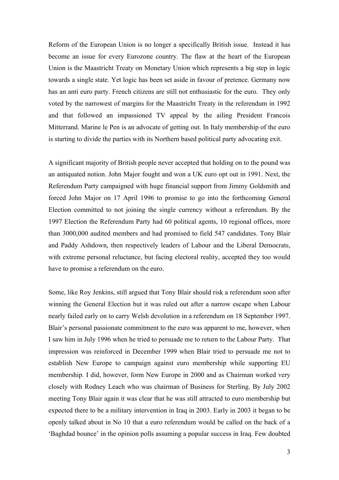Reform of the European Union is no longer a specifically British issue. Instead it has become an issue for every Eurozone country. The flaw at the heart of the European Union is the Maastricht Treaty on Monetary Union which represents a big step in logic towards a single state. Yet logic has been set aside in favour of pretence. Germany now has an anti euro party. French citizens are still not enthusiastic for the euro. They only voted by the narrowest of margins for the Maastricht Treaty in the referendum in 1992 and that followed an impassioned TV appeal by the ailing President Francois Mitterrand. Marine le Pen is an advocate of getting out. In Italy membership of the euro is starting to divide the parties with its Northern based political party advocating exit.

A significant majority of British people never accepted that holding on to the pound was an antiquated notion. John Major fought and won a UK euro opt out in 1991. Next, the Referendum Party campaigned with huge financial support from Jimmy Goldsmith and forced John Major on 17 April 1996 to promise to go into the forthcoming General Election committed to not joining the single currency without a referendum. By the 1997 Election the Referendum Party had 60 political agents, 10 regional offices, more than 3000,000 audited members and had promised to field 547 candidates. Tony Blair and Paddy Ashdown, then respectively leaders of Labour and the Liberal Democrats, with extreme personal reluctance, but facing electoral reality, accepted they too would have to promise a referendum on the euro.

Some, like Roy Jenkins, still argued that Tony Blair should risk a referendum soon after winning the General Election but it was ruled out after a narrow escape when Labour nearly failed early on to carry Welsh devolution in a referendum on 18 September 1997. Blair's personal passionate commitment to the euro was apparent to me, however, when I saw him in July 1996 when he tried to persuade me to return to the Labour Party. That impression was reinforced in December 1999 when Blair tried to persuade me not to establish New Europe to campaign against euro membership while supporting EU membership. I did, however, form New Europe in 2000 and as Chairman worked very closely with Rodney Leach who was chairman of Business for Sterling. By July 2002 meeting Tony Blair again it was clear that he was still attracted to euro membership but expected there to be a military intervention in Iraq in 2003. Early in 2003 it began to be openly talked about in No 10 that a euro referendum would be called on the back of a 'Baghdad bounce' in the opinion polls assuming a popular success in Iraq. Few doubted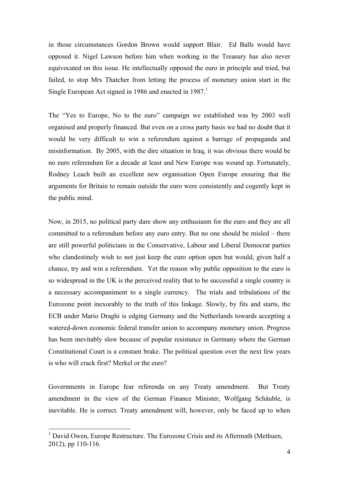in those circumstances Gordon Brown would support Blair. Ed Balls would have opposed it. Nigel Lawson before him when working in the Treasury has also never equivocated on this issue. He intellectually opposed the euro in principle and tried, but failed, to stop Mrs Thatcher from letting the process of monetary union start in the Single European Act signed in 1986 and enacted in 1987.<sup>1</sup>

The "Yes to Europe, No to the euro" campaign we established was by 2003 well organised and properly financed. But even on a cross party basis we had no doubt that it would be very difficult to win a referendum against a barrage of propaganda and misinformation. By 2005, with the dire situation in Iraq, it was obvious there would be no euro referendum for a decade at least and New Europe was wound up. Fortunately, Rodney Leach built an excellent new organisation Open Europe ensuring that the arguments for Britain to remain outside the euro were consistently and cogently kept in the public mind.

Now, in 2015, no political party dare show any enthusiasm for the euro and they are all committed to a referendum before any euro entry. But no one should be misled – there are still powerful politicians in the Conservative, Labour and Liberal Democrat parties who clandestinely wish to not just keep the euro option open but would, given half a chance, try and win a referendum. Yet the reason why public opposition to the euro is so widespread in the UK is the perceived reality that to be successful a single country is a necessary accompaniment to a single currency. The trials and tribulations of the Eurozone point inexorably to the truth of this linkage. Slowly, by fits and starts, the ECB under Mario Draghi is edging Germany and the Netherlands towards accepting a watered-down economic federal transfer union to accompany monetary union. Progress has been inevitably slow because of popular resistance in Germany where the German Constitutional Court is a constant brake. The political question over the next few years is who will crack first? Merkel or the euro?

Governments in Europe fear referenda on any Treaty amendment. But Treaty amendment in the view of the German Finance Minister, Wolfgang Schåuble, is inevitable. He is correct. Treaty amendment will, however, only be faced up to when

<sup>&</sup>lt;sup>1</sup> David Owen, Europe Restructure. The Eurozone Crisis and its Aftermath (Methuen, 2012), pp 110-116.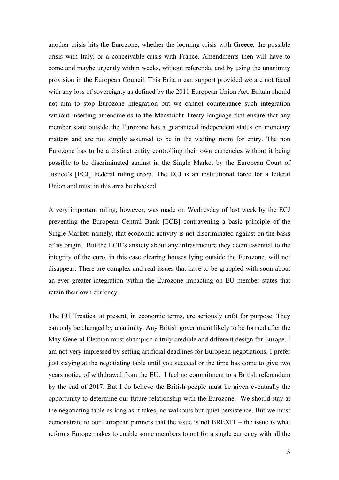another crisis hits the Eurozone, whether the looming crisis with Greece, the possible crisis with Italy, or a conceivable crisis with France. Amendments then will have to come and maybe urgently within weeks, without referenda, and by using the unanimity provision in the European Council. This Britain can support provided we are not faced with any loss of sovereignty as defined by the 2011 European Union Act. Britain should not aim to stop Eurozone integration but we cannot countenance such integration without inserting amendments to the Maastricht Treaty language that ensure that any member state outside the Eurozone has a guaranteed independent status on monetary matters and are not simply assumed to be in the waiting room for entry. The non Eurozone has to be a distinct entity controlling their own currencies without it being possible to be discriminated against in the Single Market by the European Court of Justice's [ECJ] Federal ruling creep. The ECJ is an institutional force for a federal Union and must in this area be checked.

A very important ruling, however, was made on Wednesday of last week by the ECJ preventing the European Central Bank [ECB] contravening a basic principle of the Single Market: namely, that economic activity is not discriminated against on the basis of its origin. But the ECB's anxiety about any infrastructure they deem essential to the integrity of the euro, in this case clearing houses lying outside the Eurozone, will not disappear. There are complex and real issues that have to be grappled with soon about an ever greater integration within the Eurozone impacting on EU member states that retain their own currency.

The EU Treaties, at present, in economic terms, are seriously unfit for purpose. They can only be changed by unanimity. Any British government likely to be formed after the May General Election must champion a truly credible and different design for Europe. I am not very impressed by setting artificial deadlines for European negotiations. I prefer just staying at the negotiating table until you succeed or the time has come to give two years notice of withdrawal from the EU. I feel no commitment to a British referendum by the end of 2017. But I do believe the British people must be given eventually the opportunity to determine our future relationship with the Eurozone. We should stay at the negotiating table as long as it takes, no walkouts but quiet persistence. But we must demonstrate to our European partners that the issue is not BREXIT – the issue is what reforms Europe makes to enable some members to opt for a single currency with all the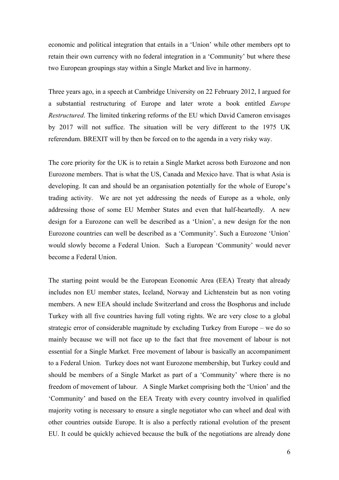economic and political integration that entails in a 'Union' while other members opt to retain their own currency with no federal integration in a 'Community' but where these two European groupings stay within a Single Market and live in harmony.

Three years ago, in a speech at Cambridge University on 22 February 2012, I argued for a substantial restructuring of Europe and later wrote a book entitled *Europe Restructured*. The limited tinkering reforms of the EU which David Cameron envisages by 2017 will not suffice. The situation will be very different to the 1975 UK referendum. BREXIT will by then be forced on to the agenda in a very risky way.

The core priority for the UK is to retain a Single Market across both Eurozone and non Eurozone members. That is what the US, Canada and Mexico have. That is what Asia is developing. It can and should be an organisation potentially for the whole of Europe's trading activity. We are not yet addressing the needs of Europe as a whole, only addressing those of some EU Member States and even that half-heartedly. A new design for a Eurozone can well be described as a 'Union', a new design for the non Eurozone countries can well be described as a 'Community'. Such a Eurozone 'Union' would slowly become a Federal Union. Such a European 'Community' would never become a Federal Union.

The starting point would be the European Economic Area (EEA) Treaty that already includes non EU member states, Iceland, Norway and Lichtenstein but as non voting members. A new EEA should include Switzerland and cross the Bosphorus and include Turkey with all five countries having full voting rights. We are very close to a global strategic error of considerable magnitude by excluding Turkey from Europe – we do so mainly because we will not face up to the fact that free movement of labour is not essential for a Single Market. Free movement of labour is basically an accompaniment to a Federal Union. Turkey does not want Eurozone membership, but Turkey could and should be members of a Single Market as part of a 'Community' where there is no freedom of movement of labour. A Single Market comprising both the 'Union' and the 'Community' and based on the EEA Treaty with every country involved in qualified majority voting is necessary to ensure a single negotiator who can wheel and deal with other countries outside Europe. It is also a perfectly rational evolution of the present EU. It could be quickly achieved because the bulk of the negotiations are already done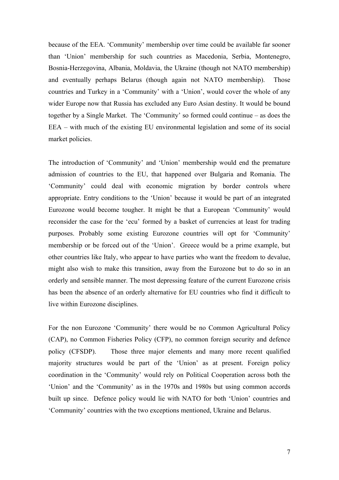because of the EEA. 'Community' membership over time could be available far sooner than 'Union' membership for such countries as Macedonia, Serbia, Montenegro, Bosnia-Herzegovina, Albania, Moldavia, the Ukraine (though not NATO membership) and eventually perhaps Belarus (though again not NATO membership). Those countries and Turkey in a 'Community' with a 'Union', would cover the whole of any wider Europe now that Russia has excluded any Euro Asian destiny. It would be bound together by a Single Market. The 'Community' so formed could continue – as does the EEA – with much of the existing EU environmental legislation and some of its social market policies.

The introduction of 'Community' and 'Union' membership would end the premature admission of countries to the EU, that happened over Bulgaria and Romania. The 'Community' could deal with economic migration by border controls where appropriate. Entry conditions to the 'Union' because it would be part of an integrated Eurozone would become tougher. It might be that a European 'Community' would reconsider the case for the 'ecu' formed by a basket of currencies at least for trading purposes. Probably some existing Eurozone countries will opt for 'Community' membership or be forced out of the 'Union'. Greece would be a prime example, but other countries like Italy, who appear to have parties who want the freedom to devalue, might also wish to make this transition, away from the Eurozone but to do so in an orderly and sensible manner. The most depressing feature of the current Eurozone crisis has been the absence of an orderly alternative for EU countries who find it difficult to live within Eurozone disciplines.

For the non Eurozone 'Community' there would be no Common Agricultural Policy (CAP), no Common Fisheries Policy (CFP), no common foreign security and defence policy (CFSDP). Those three major elements and many more recent qualified majority structures would be part of the 'Union' as at present. Foreign policy coordination in the 'Community' would rely on Political Cooperation across both the 'Union' and the 'Community' as in the 1970s and 1980s but using common accords built up since. Defence policy would lie with NATO for both 'Union' countries and 'Community' countries with the two exceptions mentioned, Ukraine and Belarus.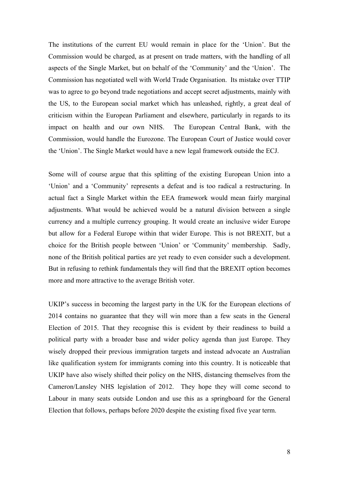The institutions of the current EU would remain in place for the 'Union'. But the Commission would be charged, as at present on trade matters, with the handling of all aspects of the Single Market, but on behalf of the 'Community' and the 'Union'. The Commission has negotiated well with World Trade Organisation. Its mistake over TTIP was to agree to go beyond trade negotiations and accept secret adjustments, mainly with the US, to the European social market which has unleashed, rightly, a great deal of criticism within the European Parliament and elsewhere, particularly in regards to its impact on health and our own NHS. The European Central Bank, with the Commission, would handle the Eurozone. The European Court of Justice would cover the 'Union'. The Single Market would have a new legal framework outside the ECJ.

Some will of course argue that this splitting of the existing European Union into a 'Union' and a 'Community' represents a defeat and is too radical a restructuring. In actual fact a Single Market within the EEA framework would mean fairly marginal adjustments. What would be achieved would be a natural division between a single currency and a multiple currency grouping. It would create an inclusive wider Europe but allow for a Federal Europe within that wider Europe. This is not BREXIT, but a choice for the British people between 'Union' or 'Community' membership. Sadly, none of the British political parties are yet ready to even consider such a development. But in refusing to rethink fundamentals they will find that the BREXIT option becomes more and more attractive to the average British voter.

UKIP's success in becoming the largest party in the UK for the European elections of 2014 contains no guarantee that they will win more than a few seats in the General Election of 2015. That they recognise this is evident by their readiness to build a political party with a broader base and wider policy agenda than just Europe. They wisely dropped their previous immigration targets and instead advocate an Australian like qualification system for immigrants coming into this country. It is noticeable that UKIP have also wisely shifted their policy on the NHS, distancing themselves from the Cameron/Lansley NHS legislation of 2012. They hope they will come second to Labour in many seats outside London and use this as a springboard for the General Election that follows, perhaps before 2020 despite the existing fixed five year term.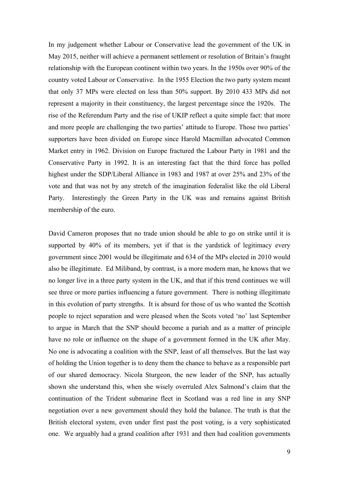In my judgement whether Labour or Conservative lead the government of the UK in May 2015, neither will achieve a permanent settlement or resolution of Britain's fraught relationship with the European continent within two years. In the 1950s over 90% of the country voted Labour or Conservative. In the 1955 Election the two party system meant that only 37 MPs were elected on less than 50% support. By 2010 433 MPs did not represent a majority in their constituency, the largest percentage since the 1920s. The rise of the Referendum Party and the rise of UKIP reflect a quite simple fact: that more and more people are challenging the two parties' attitude to Europe. Those two parties' supporters have been divided on Europe since Harold Macmillan advocated Common Market entry in 1962. Division on Europe fractured the Labour Party in 1981 and the Conservative Party in 1992. It is an interesting fact that the third force has polled highest under the SDP/Liberal Alliance in 1983 and 1987 at over 25% and 23% of the vote and that was not by any stretch of the imagination federalist like the old Liberal Party. Interestingly the Green Party in the UK was and remains against British membership of the euro.

David Cameron proposes that no trade union should be able to go on strike until it is supported by 40% of its members, yet if that is the yardstick of legitimacy every government since 2001 would be illegitimate and 634 of the MPs elected in 2010 would also be illegitimate. Ed Miliband, by contrast, is a more modern man, he knows that we no longer live in a three party system in the UK, and that if this trend continues we will see three or more parties influencing a future government. There is nothing illegitimate in this evolution of party strengths. It is absurd for those of us who wanted the Scottish people to reject separation and were pleased when the Scots voted 'no' last September to argue in March that the SNP should become a pariah and as a matter of principle have no role or influence on the shape of a government formed in the UK after May. No one is advocating a coalition with the SNP, least of all themselves. But the last way of holding the Union together is to deny them the chance to behave as a responsible part of our shared democracy. Nicola Sturgeon, the new leader of the SNP, has actually shown she understand this, when she wisely overruled Alex Salmond's claim that the continuation of the Trident submarine fleet in Scotland was a red line in any SNP negotiation over a new government should they hold the balance. The truth is that the British electoral system, even under first past the post voting, is a very sophisticated one. We arguably had a grand coalition after 1931 and then had coalition governments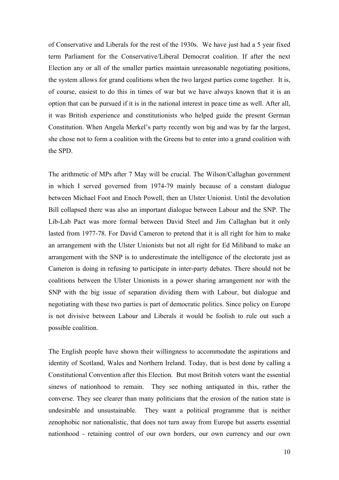of Conservative and Liberals for the rest of the 1930s. We have just had a 5 year fixed term Parliament for the Conservative/Liberal Democrat coalition. If after the next Election any or all of the smaller parties maintain unreasonable negotiating positions, the system allows for grand coalitions when the two largest parties come together. It is, of course, easiest to do this in times of war but we have always known that it is an option that can be pursued if it is in the national interest in peace time as well. After all, it was British experience and constitutionists who helped guide the present German Constitution. When Angela Merkel's party recently won big and was by far the largest, she chose not to form a coalition with the Greens but to enter into a grand coalition with the SPD.

The arithmetic of MPs after 7 May will be crucial. The Wilson/Callaghan government in which I served governed from 1974-79 mainly because of a constant dialogue between Michael Foot and Enoch Powell, then an Ulster Unionist. Until the devolution Bill collapsed there was also an important dialogue between Labour and the SNP. The Lib-Lab Pact was more formal between David Steel and Jim Callaghan but it only lasted from 1977-78. For David Cameron to pretend that it is all right for him to make an arrangement with the Ulster Unionists but not all right for Ed Miliband to make an arrangement with the SNP is to underestimate the intelligence of the electorate just as Cameron is doing in refusing to participate in inter-party debates. There should not be coalitions between the Ulster Unionists in a power sharing arrangement nor with the SNP with the big issue of separation dividing them with Labour, but dialogue and negotiating with these two parties is part of democratic politics. Since policy on Europe is not divisive between Labour and Liberals it would be foolish to rule out such a possible coalition.

The English people have shown their willingness to accommodate the aspirations and identity of Scotland, Wales and Northern Ireland. Today, that is best done by calling a Constitutional Convention after this Election. But most British voters want the essential sinews of nationhood to remain. They see nothing antiquated in this, rather the converse. They see clearer than many politicians that the erosion of the nation state is undesirable and unsustainable. They want a political programme that is neither zenophobic nor nationalistic, that does not turn away from Europe but asserts essential nationhood - retaining control of our own borders, our own currency and our own